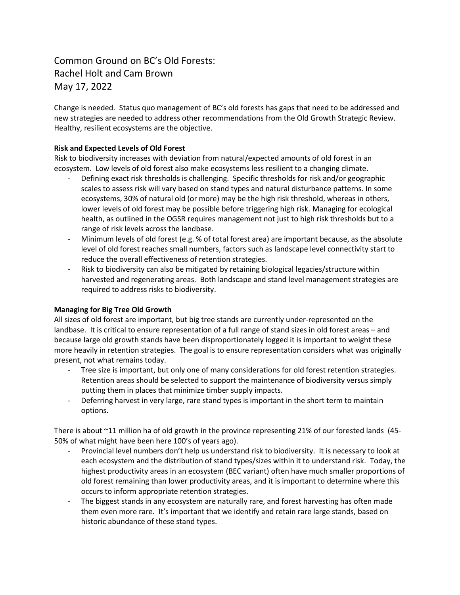## Common Ground on BC's Old Forests: Rachel Holt and Cam Brown May 17, 2022

Change is needed. Status quo management of BC's old forests has gaps that need to be addressed and new strategies are needed to address other recommendations from the Old Growth Strategic Review. Healthy, resilient ecosystems are the objective.

## **Risk and Expected Levels of Old Forest**

Risk to biodiversity increases with deviation from natural/expected amounts of old forest in an ecosystem. Low levels of old forest also make ecosystems less resilient to a changing climate.

- Defining exact risk thresholds is challenging. Specific thresholds for risk and/or geographic scales to assess risk will vary based on stand types and natural disturbance patterns. In some ecosystems, 30% of natural old (or more) may be the high risk threshold, whereas in others, lower levels of old forest may be possible before triggering high risk. Managing for ecological health, as outlined in the OGSR requires management not just to high risk thresholds but to a range of risk levels across the landbase.
- Minimum levels of old forest (e.g. % of total forest area) are important because, as the absolute level of old forest reaches small numbers, factors such as landscape level connectivity start to reduce the overall effectiveness of retention strategies.
- Risk to biodiversity can also be mitigated by retaining biological legacies/structure within harvested and regenerating areas. Both landscape and stand level management strategies are required to address risks to biodiversity.

## **Managing for Big Tree Old Growth**

All sizes of old forest are important, but big tree stands are currently under-represented on the landbase. It is critical to ensure representation of a full range of stand sizes in old forest areas – and because large old growth stands have been disproportionately logged it is important to weight these more heavily in retention strategies. The goal is to ensure representation considers what was originally present, not what remains today.

- Tree size is important, but only one of many considerations for old forest retention strategies. Retention areas should be selected to support the maintenance of biodiversity versus simply putting them in places that minimize timber supply impacts.
- Deferring harvest in very large, rare stand types is important in the short term to maintain options.

There is about ~11 million ha of old growth in the province representing 21% of our forested lands (45- 50% of what might have been here 100's of years ago).

- Provincial level numbers don't help us understand risk to biodiversity. It is necessary to look at each ecosystem and the distribution of stand types/sizes within it to understand risk. Today, the highest productivity areas in an ecosystem (BEC variant) often have much smaller proportions of old forest remaining than lower productivity areas, and it is important to determine where this occurs to inform appropriate retention strategies.
- The biggest stands in any ecosystem are naturally rare, and forest harvesting has often made them even more rare. It's important that we identify and retain rare large stands, based on historic abundance of these stand types.